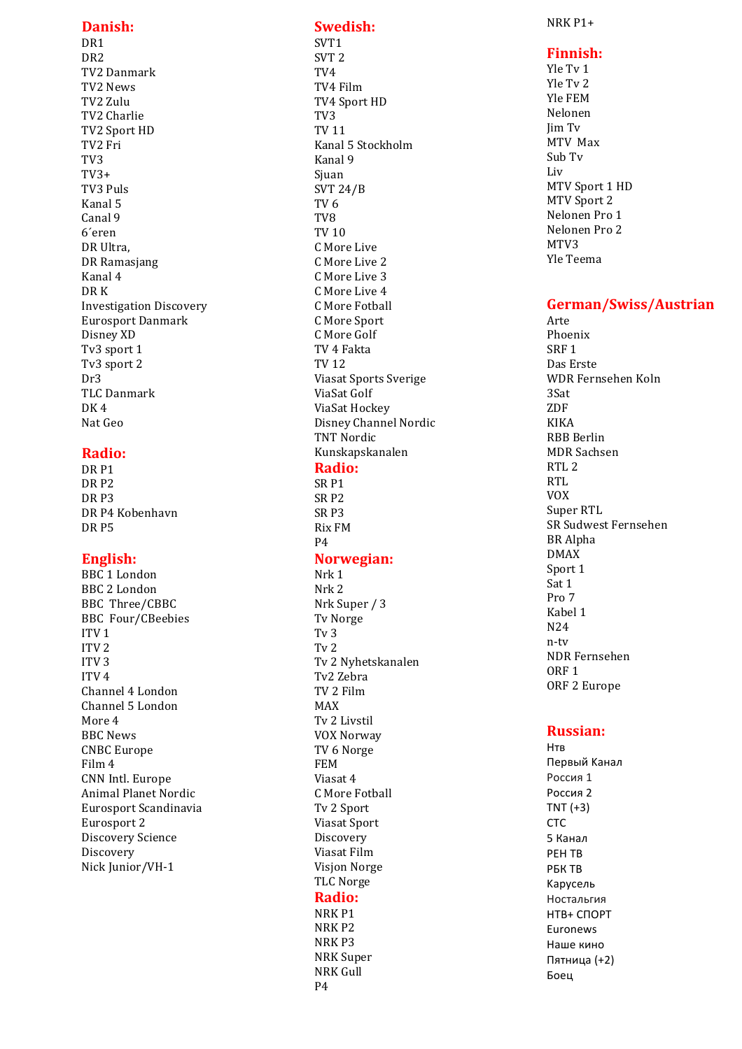### **Danish :**

DR 1 DR 2 TV2 Danmark TV2 News TV2 Zulu TV2 Charlie TV2 Sport HD TV<sub>2</sub> Fri TV 3 TV3+ TV3 Puls Kanal 5 Canal 9 6´eren DR Ultra. DR Ramasjang Kanal 4 DR K Investigation Discovery Eurosport Danmark Disney XD Tv<sub>3</sub> sport 1 Tv<sub>3</sub> sport 2 Dr3 TLC Danmark  $DK4$ Nat Geo

### **Radio:**

DR<sub>P1</sub> DR<sub>P2</sub> DR<sub>P3</sub> DR P4 Kobenhavn DR<sub>P5</sub>

### **English :**

BBC<sub>1</sub>London BBC 2 London BBC Three/CBBC **BBC** Four/CBeebies ITV<sub>1</sub> ITV<sub>2</sub> ITV<sub>3</sub> ITV $4$ Channel 4 London Channel 5 London More 4 BBC News **CNBC** Europe Film 4 CNN Intl. Europe Animal Planet Nordic Eurosport Scandinavia Eurosport 2 Discovery Science Discovery Nick Junior/VH-1

## **Swedish:**

SVT 1 SVT 2 TV 4 TV4 Film TV4 Sport HD TV 3 TV 11 Kanal 5 Stockholm Kanal 9 Siuan SVT 24/B TV 6 TV 8 TV 10 C. More Live C More Live 2 C More Live 3 C More Live 4 C More Fotball C More Sport C More Golf TV 4 Fakta TV 12 Viasat Sports Sverige ViaSat Golf ViaSat Hockey Disney Channel Nordic TNT Nordic Kunskapskanalen **Radio:**

# SR<sub>P1</sub>

SR<sub>P2</sub> SR<sub>P3</sub> Rix FM P4

### **Norwegian :**

Nrk 1 Nrk 2 Nrk Super / 3 **Tv** Norge Tv<sub>3</sub>  $Tv<sub>2</sub>$ Tv 2 Nyhetskanalen Tv2 Zebra TV 2 Film MAX Tv 2 Livstil VOX Norway TV 6 Norge FEM  $V$ iasat  $4$ C. More Fotball Tv 2 Sport Viasat Sport **Discovery** Viasat Film Visjon Norge TLC Norge **Radio:**

NRK<sub>P1</sub> NRK<sub>P2</sub> NRK<sub>P3</sub> **NRK** Super **NRK** Gull P4

NRK P1+

### **Finnish :**

Yle Tv 1 Yle Tv 2 Yle FEM Nelonen Jim Tv MTV Max Sub Tv Liv MTV Sport 1 HD MTV Sport 2 Nelonen Pro 1 Nelonen Pro 2 MTV3 Yle Teema

### **German/Swiss/Austrian**

Arte Phoenix SRF<sub>1</sub> Das Erste WDR Fernsehen Koln 3Sat ZDF KIKA RBB Berlin MDR Sachsen  $RTL$ . 2 RTL VOX Super RTL SR Sudwest Fernsehen BR Alpha DMAX Sport 1  $S$ at 1  $Pro7$ Kabel 1 N24 n-tv NDR Fernsehen ORF<sub>1</sub> ORF 2 Europe

## **Russian:**

Нтв Первый Kанал Pоссия 1 Pоссия 2  $TNT (+3)$ CTC 5 Канал РЕН ТВ **PEK TR** Kapyceль Hocтaльгия HTB+ CПОРТ Euronews Наше кино Пятницa (+2) Боец